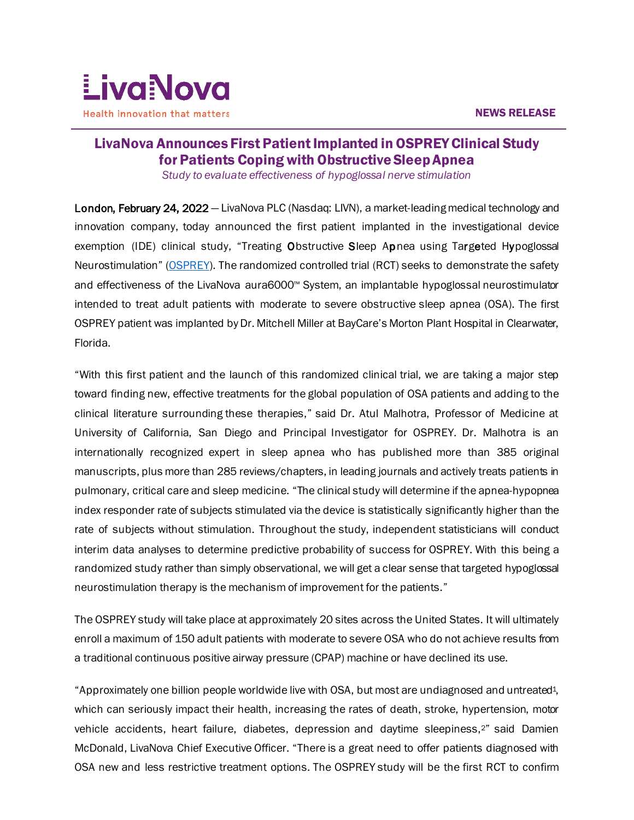

# $\overline{a}$ LivaNova Announces First Patient Implanted in OSPREY Clinical Study for Patients Coping with Obstructive Sleep Apnea

*Study to evaluate effectiveness of hypoglossal nerve stimulation*

London, February 24, 2022 — LivaNova PLC (Nasdaq: LIVN), a market-leading medical technology and innovation company, today announced the first patient implanted in the investigational device exemption (IDE) clinical study, "Treating Obstructive Sleep Apnea using Targeted Hypoglossal Neurostimulation" [\(OSPREY\)](https://clinicaltrials.gov/ct2/show/NCT04950894?term=osprey&cond=obstructive+sleep+apnea&draw=2&rank=1). The randomized controlled trial (RCT) seeks to demonstrate the safety and effectiveness of the LivaNova aura6000™ System, an implantable hypoglossal neurostimulator intended to treat adult patients with moderate to severe obstructive sleep apnea (OSA). The first OSPREY patient was implanted by Dr. Mitchell Miller at BayCare's Morton Plant Hospital in Clearwater, Florida.

"With this first patient and the launch of this randomized clinical trial, we are taking a major step toward finding new, effective treatments for the global population of OSA patients and adding to the clinical literature surrounding these therapies," said Dr. Atul Malhotra, Professor of Medicine at University of California, San Diego and Principal Investigator for OSPREY. Dr. Malhotra is an internationally recognized expert in sleep apnea who has published more than 385 original manuscripts, plus more than 285 reviews/chapters, in leading journals and actively treats patients in pulmonary, critical care and sleep medicine. "The clinical study will determine if the apnea-hypopnea index responder rate of subjects stimulated via the device is statistically significantly higher than the rate of subjects without stimulation. Throughout the study, independent statisticians will conduct interim data analyses to determine predictive probability of success for OSPREY. With this being a randomized study rather than simply observational, we will get a clear sense that targeted hypoglossal neurostimulation therapy is the mechanism of improvement for the patients."

The OSPREY study will take place at approximately 20 sites across the United States. It will ultimately enroll a maximum of 150 adult patients with moderate to severe OSA who do not achieve results from a traditional continuous positive airway pressure (CPAP) machine or have declined its use.

"Approximately one billion people worldwide live with OSA, but most are undiagnosed and untreated1, which can seriously impact their health, increasing the rates of death, stroke, hypertension, motor vehicle accidents, heart failure, diabetes, depression and daytime sleepiness,2" said Damien McDonald, LivaNova Chief Executive Officer. "There is a great need to offer patients diagnosed with OSA new and less restrictive treatment options. The OSPREY study will be the first RCT to confirm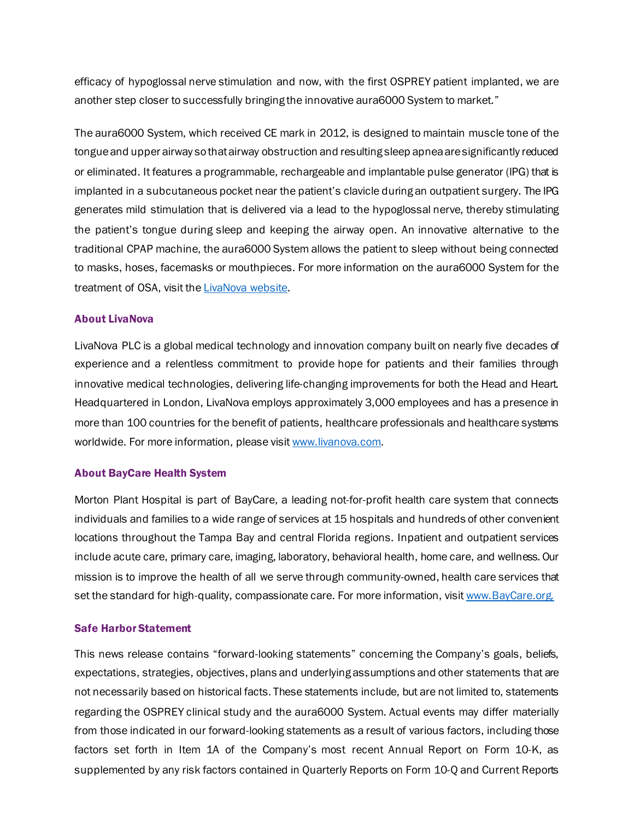efficacy of hypoglossal nerve stimulation and now, with the first OSPREY patient implanted, we are another step closer to successfully bringing the innovative aura6000 System to market."

The aura6000 System, which received CE mark in 2012, is designed to maintain muscle tone of the tongue and upper airway so that airway obstruction and resulting sleep apnea are significantly reduced or eliminated. It features a programmable, rechargeable and implantable pulse generator (IPG) that is implanted in a subcutaneous pocket near the patient's clavicle during an outpatient surgery. The IPG generates mild stimulation that is delivered via a lead to the hypoglossal nerve, thereby stimulating the patient's tongue during sleep and keeping the airway open. An innovative alternative to the traditional CPAP machine, the aura6000 System allows the patient to sleep without being connected to masks, hoses, facemasks or mouthpieces. For more information on the aura6000 System for the treatment of OSA, visit th[e LivaNova website.](https://www.livanova.com/en-us/home/obstructive-sleep-apnea)

## About LivaNova

LivaNova PLC is a global medical technology and innovation company built on nearly five decades of experience and a relentless commitment to provide hope for patients and their families through innovative medical technologies, delivering life-changing improvements for both the Head and Heart. Headquartered in London, LivaNova employs approximately 3,000 employees and has a presence in more than 100 countries for the benefit of patients, healthcare professionals and healthcare systems worldwide. For more information, please visi[t www.livanova.com.](http://www.livanova.com/)

## About BayCare Health System

Morton Plant Hospital is part of BayCare, a leading not-for-profit health care system that connects individuals and families to a wide range of services at 15 hospitals and hundreds of other convenient locations throughout the Tampa Bay and central Florida regions. Inpatient and outpatient services include acute care, primary care, imaging, laboratory, behavioral health, home care, and wellness. Our mission is to improve the health of all we serve through community-owned, health care services that set the standard for high-quality, compassionate care. For more information, visit [www.BayCare.org.](http://www.baycare.org./)

#### Safe Harbor Statement

This news release contains "forward-looking statements" concerning the Company's goals, beliefs, expectations, strategies, objectives, plans and underlying assumptions and other statements that are not necessarily based on historical facts. These statements include, but are not limited to, statements regarding the OSPREY clinical study and the aura6000 System. Actual events may differ materially from those indicated in our forward-looking statements as a result of various factors, including those factors set forth in Item 1A of the Company's most recent Annual Report on Form 10-K, as supplemented by any risk factors contained in Quarterly Reports on Form 10-Q and Current Reports